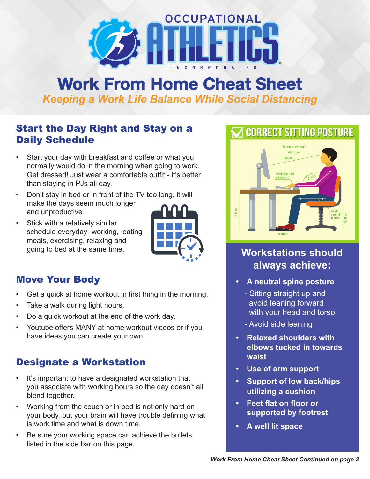

# **Work From Home Cheat Sheet**  *Keeping a Work Life Balance While Social Distancing*

### Start the Day Right and Stay on a Daily Schedule

- Start your day with breakfast and coffee or what you normally would do in the morning when going to work. Get dressed! Just wear a comfortable outfit - it's better than staying in PJs all day.
- Don't stay in bed or in front of the TV too long, it will make the days seem much longer and unproductive.
- Stick with a relatively similar schedule everyday- working, eating meals, exercising, relaxing and going to bed at the same time.



## Move Your Body

- Get a quick at home workout in first thing in the morning.
- Take a walk during light hours.
- Do a quick workout at the end of the work day.
- Youtube offers MANY at home workout videos or if you have ideas you can create your own.

## Designate a Workstation

- It's important to have a designated workstation that you associate with working hours so the day doesn't all blend together.
- Working from the couch or in bed is not only hard on your body, but your brain will have trouble defining what is work time and what is down time.
- Be sure your working space can achieve the bullets listed in the side bar on this page.



# **Workstations should always achieve:**

- **• A neutral spine posture** 
	- Sitting straight up and avoid leaning forward with your head and torso
	- Avoid side leaning
- **• Relaxed shoulders with elbows tucked in towards waist**
- **• Use of arm support**
- **• Support of low back/hips utilizing a cushion**
- **• Feet flat on floor or supported by footrest**
- **• A well lit space**